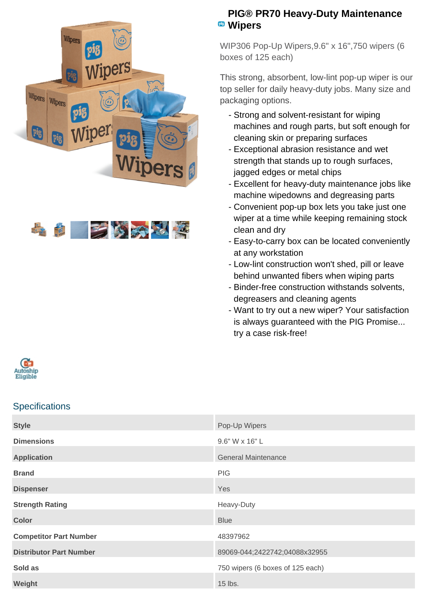



## **PIG® PR70 Heavy-Duty Maintenance Wipers**

WIP306 Pop-Up Wipers,9.6" x 16",750 wipers (6 boxes of 125 each)

This strong, absorbent, low-lint pop-up wiper is our top seller for daily heavy-duty jobs. Many size and packaging options.

- Strong and solvent-resistant for wiping machines and rough parts, but soft enough for cleaning skin or preparing surfaces
- Exceptional abrasion resistance and wet strength that stands up to rough surfaces, jagged edges or metal chips
- Excellent for heavy-duty maintenance jobs like machine wipedowns and degreasing parts
- Convenient pop-up box lets you take just one wiper at a time while keeping remaining stock clean and dry
- Easy-to-carry box can be located conveniently at any workstation
- Low-lint construction won't shed, pill or leave behind unwanted fibers when wiping parts
- Binder-free construction withstands solvents, degreasers and cleaning agents
- Want to try out a new wiper? Your satisfaction is always guaranteed with the PIG Promise... try a case risk-free!



## **Specifications**

| <b>Style</b>                   | Pop-Up Wipers                    |
|--------------------------------|----------------------------------|
| <b>Dimensions</b>              | 9.6" W x 16" L                   |
| <b>Application</b>             | <b>General Maintenance</b>       |
| <b>Brand</b>                   | <b>PIG</b>                       |
| <b>Dispenser</b>               | Yes                              |
| <b>Strength Rating</b>         | Heavy-Duty                       |
| <b>Color</b>                   | <b>Blue</b>                      |
| <b>Competitor Part Number</b>  | 48397962                         |
| <b>Distributor Part Number</b> | 89069-044;2422742;04088x32955    |
| Sold as                        | 750 wipers (6 boxes of 125 each) |
| Weight                         | 15 lbs.                          |